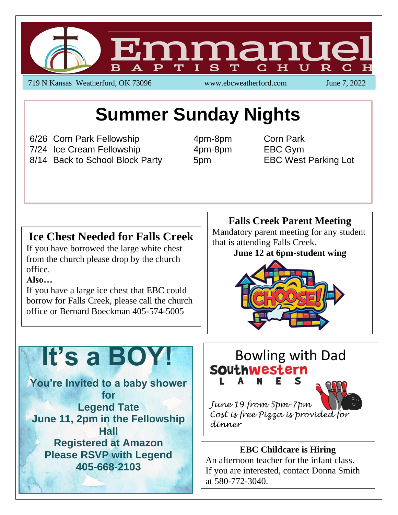

719 N Kansas Weatherford, OK 73096 www.ebcweatherford.com June 7, 2022

## **Summer Sunday Nights**

6/26 Corn Park Fellowship 4pm-8pm Corn Park 7/24 Ice Cream Fellowship 4pm-8pm EBC Gym 8/14 Back to School Block Party 5pm EBC West Parking Lot

### **Ice Chest Needed for Falls Creek**

If you have borrowed the large white chest from the church please drop by the church office.

#### **Also…**

If you have a large ice chest that EBC could borrow for Falls Creek, please call the church office or Bernard Boeckman 405-574-5005

#### **Falls Creek Parent Meeting**

Mandatory parent meeting for any student that is attending Falls Creek.

#### **June 12 at 6pm-student wing**



# **It's a BOY!**

**You're Invited to a baby shower for Legend Tate June 11, 2pm in the Fellowship Hall Registered at Amazon Please RSVP with Legend 405-668-2103**

## Bowling with Dad<br>SOUthwestern S

*June 19 from 5pm-7pm Cost is free Pizza is provided for dinner*

#### **EBC Childcare is Hiring**

An afternoon teacher for the infant class. If you are interested, contact Donna Smith at 580-772-3040.